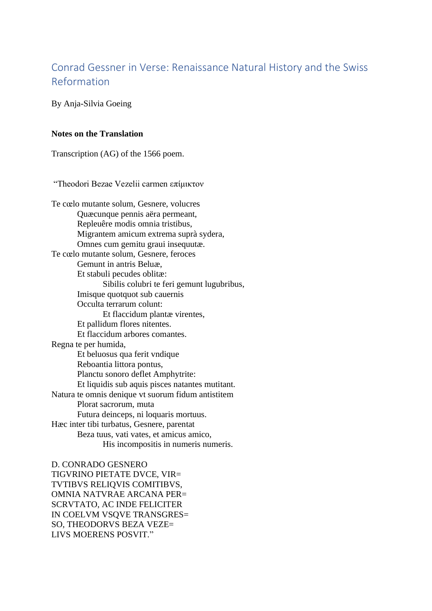## Conrad Gessner in Verse: Renaissance Natural History and the Swiss Reformation

By Anja-Silvia Goeing

## **Notes on the Translation**

Transcription (AG) of the 1566 poem.

"Theodori Bezae Vezelii carmen επίμικτον

Te cœlo mutante solum, Gesnere, volucres Quæcunque pennis aëra permeant, Repleuêre modis omnia tristibus, Migrantem amicum extrema suprà sydera, Omnes cum gemitu graui insequutæ. Te cœlo mutante solum, Gesnere, feroces Gemunt in antris Beluæ, Et stabuli pecudes oblitæ: Sibilis colubri te feri gemunt lugubribus, Imisque quotquot sub cauernis Occulta terrarum colunt: Et flaccidum plantæ virentes, Et pallidum flores nitentes. Et flaccidum arbores comantes. Regna te per humida, Et beluosus qua ferit vndique Reboantia littora pontus, Planctu sonoro deflet Amphytrite: Et liquidis sub aquis pisces natantes mutitant. Natura te omnis denique vt suorum fidum antistitem Plorat sacrorum, muta Futura deinceps, ni loquaris mortuus. Hæc inter tibi turbatus, Gesnere, parentat Beza tuus, vati vates, et amicus amico, His incompositis in numeris numeris.

D. CONRADO GESNERO TIGVRINO PIETATE DVCE, VIR= TVTIBVS RELIQVIS COMITIBVS, OMNIA NATVRAE ARCANA PER= SCRVTATO, AC INDE FELICITER IN COELVM VSQVE TRANSGRES= SO, THEODORVS BEZA VEZE= LIVS MOERENS POSVIT."